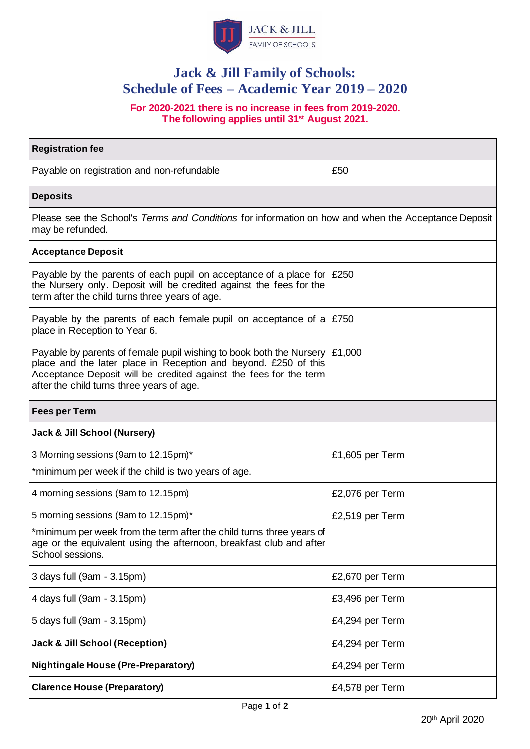

# **Jack & Jill Family of Schools: Schedule of Fees – Academic Year 2019 – 2020**

**For 2020-2021 there is no increase in fees from 2019-2020. The following applies until 31st August 2021.**

| <b>Registration fee</b>                                                                                                                                                                                                                                                |                 |
|------------------------------------------------------------------------------------------------------------------------------------------------------------------------------------------------------------------------------------------------------------------------|-----------------|
| Payable on registration and non-refundable                                                                                                                                                                                                                             | £50             |
| <b>Deposits</b>                                                                                                                                                                                                                                                        |                 |
| Please see the School's Terms and Conditions for information on how and when the Acceptance Deposit<br>may be refunded.                                                                                                                                                |                 |
| <b>Acceptance Deposit</b>                                                                                                                                                                                                                                              |                 |
| Payable by the parents of each pupil on acceptance of a place for $\mid$ £250<br>the Nursery only. Deposit will be credited against the fees for the<br>term after the child turns three years of age.                                                                 |                 |
| Payable by the parents of each female pupil on acceptance of a $\mid$ £750<br>place in Reception to Year 6.                                                                                                                                                            |                 |
| Payable by parents of female pupil wishing to book both the Nursery $\mid$ £1,000<br>place and the later place in Reception and beyond. £250 of this<br>Acceptance Deposit will be credited against the fees for the term<br>after the child turns three years of age. |                 |
| <b>Fees per Term</b>                                                                                                                                                                                                                                                   |                 |
| <b>Jack &amp; Jill School (Nursery)</b>                                                                                                                                                                                                                                |                 |
| 3 Morning sessions (9am to 12.15pm)*                                                                                                                                                                                                                                   | £1,605 per Term |
| *minimum per week if the child is two years of age.                                                                                                                                                                                                                    |                 |
| 4 morning sessions (9am to 12.15pm)                                                                                                                                                                                                                                    | £2,076 per Term |
| 5 morning sessions (9am to 12.15pm)*                                                                                                                                                                                                                                   | £2,519 per Term |
| *minimum per week from the term after the child turns three years of<br>age or the equivalent using the afternoon, breakfast club and after<br>School sessions.                                                                                                        |                 |
| 3 days full (9am - 3.15pm)                                                                                                                                                                                                                                             | £2,670 per Term |
| 4 days full (9am - 3.15pm)                                                                                                                                                                                                                                             | £3,496 per Term |
| 5 days full (9am - 3.15pm)                                                                                                                                                                                                                                             | £4,294 per Term |
| <b>Jack &amp; Jill School (Reception)</b>                                                                                                                                                                                                                              | £4,294 per Term |
| <b>Nightingale House (Pre-Preparatory)</b>                                                                                                                                                                                                                             | £4,294 per Term |
| <b>Clarence House (Preparatory)</b>                                                                                                                                                                                                                                    | £4,578 per Term |